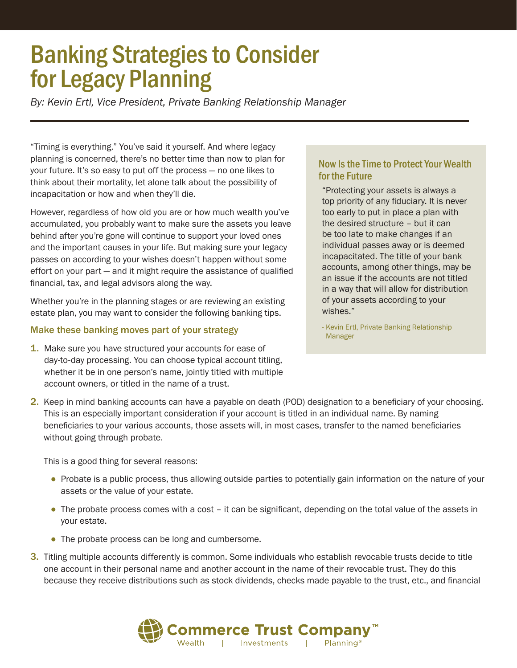# Banking Strategies to Consider for Legacy Planning

*By: Kevin Ertl, Vice President, Private Banking Relationship Manager*

"Timing is everything." You've said it yourself. And where legacy planning is concerned, there's no better time than now to plan for your future. It's so easy to put off the process — no one likes to think about their mortality, let alone talk about the possibility of incapacitation or how and when they'll die.

However, regardless of how old you are or how much wealth you've accumulated, you probably want to make sure the assets you leave behind after you're gone will continue to support your loved ones and the important causes in your life. But making sure your legacy passes on according to your wishes doesn't happen without some effort on your part — and it might require the assistance of qualified financial, tax, and legal advisors along the way.

Whether you're in the planning stages or are reviewing an existing estate plan, you may want to consider the following banking tips.

#### Make these banking moves part of your strategy

**1.** Make sure you have structured your accounts for ease of day-to-day processing. You can choose typical account titling, whether it be in one person's name, jointly titled with multiple account owners, or titled in the name of a trust.

### Now Is the Time to Protect Your Wealth for the Future

"Protecting your assets is always a top priority of any fiduciary. It is never too early to put in place a plan with the desired structure – but it can be too late to make changes if an individual passes away or is deemed incapacitated. The title of your bank accounts, among other things, may be an issue if the accounts are not titled in a way that will allow for distribution of your assets according to your wishes."

- Kevin Ertl, Private Banking Relationship Manager

2. Keep in mind banking accounts can have a payable on death (POD) designation to a beneficiary of your choosing. This is an especially important consideration if your account is titled in an individual name. By naming beneficiaries to your various accounts, those assets will, in most cases, transfer to the named beneficiaries without going through probate.

This is a good thing for several reasons:

- Probate is a public process, thus allowing outside parties to potentially gain information on the nature of your assets or the value of your estate.
- The probate process comes with a cost it can be significant, depending on the total value of the assets in your estate.
- The probate process can be long and cumbersome.
- 3. Titling multiple accounts differently is common. Some individuals who establish revocable trusts decide to title one account in their personal name and another account in the name of their revocable trust. They do this because they receive distributions such as stock dividends, checks made payable to the trust, etc., and financial

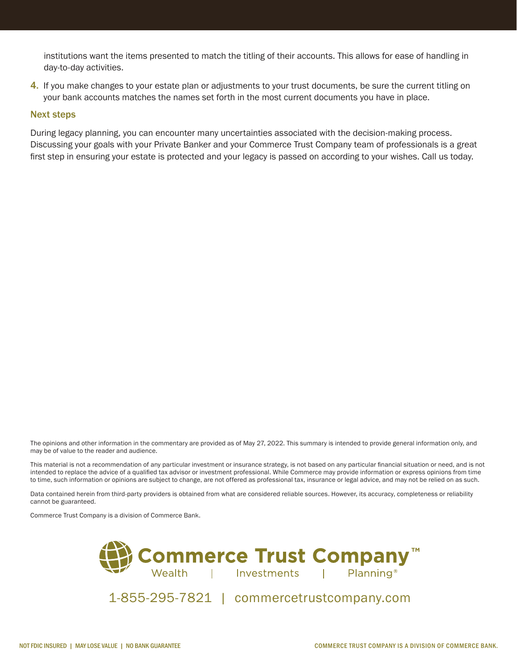institutions want the items presented to match the titling of their accounts. This allows for ease of handling in day-to-day activities.

4. If you make changes to your estate plan or adjustments to your trust documents, be sure the current titling on your bank accounts matches the names set forth in the most current documents you have in place.

#### Next steps

During legacy planning, you can encounter many uncertainties associated with the decision-making process. Discussing your goals with your Private Banker and your Commerce Trust Company team of professionals is a great first step in ensuring your estate is protected and your legacy is passed on according to your wishes. Call us today.

The opinions and other information in the commentary are provided as of May 27, 2022. This summary is intended to provide general information only, and may be of value to the reader and audience.

This material is not a recommendation of any particular investment or insurance strategy, is not based on any particular financial situation or need, and is not intended to replace the advice of a qualified tax advisor or investment professional. While Commerce may provide information or express opinions from time to time, such information or opinions are subject to change, are not offered as professional tax, insurance or legal advice, and may not be relied on as such.

Data contained herein from third-party providers is obtained from what are considered reliable sources. However, its accuracy, completeness or reliability cannot be guaranteed.

Commerce Trust Company is a division of Commerce Bank.



1-855-295-7821 | commercetrustcompany.com